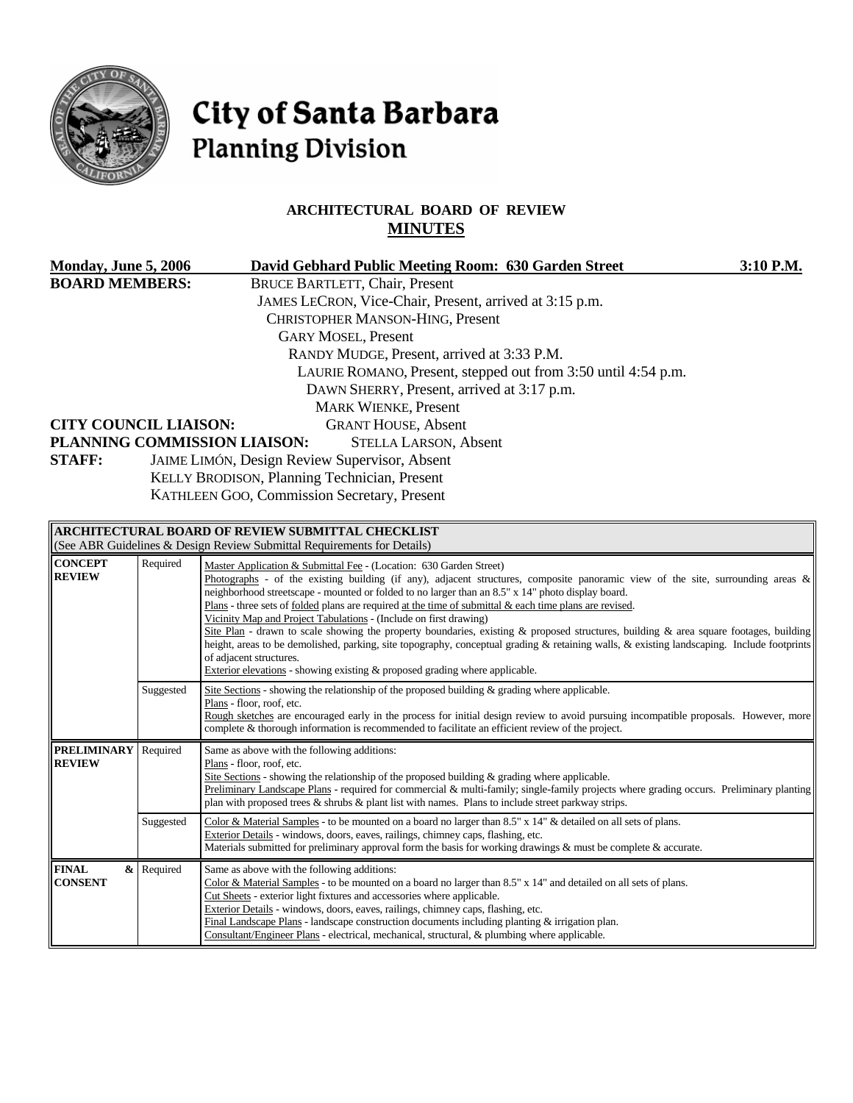

# City of Santa Barbara **Planning Division**

# **ARCHITECTURAL BOARD OF REVIEW MINUTES**

| Monday, June 5, 2006         |          | David Gebhard Public Meeting Room: 630 Garden Street                                                                                                                                                                                               | 3:10 P.M. |
|------------------------------|----------|----------------------------------------------------------------------------------------------------------------------------------------------------------------------------------------------------------------------------------------------------|-----------|
| <b>BOARD MEMBERS:</b>        |          | <b>BRUCE BARTLETT, Chair, Present</b>                                                                                                                                                                                                              |           |
|                              |          | JAMES LECRON, Vice-Chair, Present, arrived at 3:15 p.m.                                                                                                                                                                                            |           |
|                              |          | <b>CHRISTOPHER MANSON-HING, Present</b>                                                                                                                                                                                                            |           |
|                              |          | <b>GARY MOSEL, Present</b>                                                                                                                                                                                                                         |           |
|                              |          | RANDY MUDGE, Present, arrived at 3:33 P.M.                                                                                                                                                                                                         |           |
|                              |          | LAURIE ROMANO, Present, stepped out from 3:50 until 4:54 p.m.                                                                                                                                                                                      |           |
|                              |          | DAWN SHERRY, Present, arrived at 3:17 p.m.                                                                                                                                                                                                         |           |
|                              |          | <b>MARK WIENKE, Present</b>                                                                                                                                                                                                                        |           |
| <b>CITY COUNCIL LIAISON:</b> |          | <b>GRANT HOUSE, Absent</b>                                                                                                                                                                                                                         |           |
|                              |          | PLANNING COMMISSION LIAISON:<br><b>STELLA LARSON, Absent</b>                                                                                                                                                                                       |           |
| <b>STAFF:</b>                |          | JAIME LIMÓN, Design Review Supervisor, Absent                                                                                                                                                                                                      |           |
|                              |          | KELLY BRODISON, Planning Technician, Present                                                                                                                                                                                                       |           |
|                              |          | KATHLEEN GOO, Commission Secretary, Present                                                                                                                                                                                                        |           |
|                              |          |                                                                                                                                                                                                                                                    |           |
|                              |          | <b>ARCHITECTURAL BOARD OF REVIEW SUBMITTAL CHECKLIST</b>                                                                                                                                                                                           |           |
|                              |          | (See ABR Guidelines & Design Review Submittal Requirements for Details)                                                                                                                                                                            |           |
| <b>CONCEPT</b>               | Required | Master Application & Submittal Fee - (Location: 630 Garden Street)                                                                                                                                                                                 |           |
| <b>REVIEW</b>                |          | Photographs - of the existing building (if any), adjacent structures, composite panoramic view of the site, surrounding areas &<br>atalika aka adi ama masa sa sa masa na mata a katika ka sa a ta ana mata sa sa 6 Miliar 140 miliar a diambara h |           |

| <b>REVIEW</b>                       |            | Photographs - of the existing building (if any), adjacent structures, composite panoramic view of the site, surrounding areas $\&$<br>neighborhood streetscape - mounted or folded to no larger than an 8.5" x 14" photo display board.<br>Plans - three sets of folded plans are required at the time of submittal $\&$ each time plans are revised.<br>Vicinity Map and Project Tabulations - (Include on first drawing)<br>Site Plan - drawn to scale showing the property boundaries, existing & proposed structures, building & area square footages, building<br>height, areas to be demolished, parking, site topography, conceptual grading & retaining walls, & existing landscaping. Include footprints<br>of adjacent structures.<br>Exterior elevations - showing existing $\&$ proposed grading where applicable. |
|-------------------------------------|------------|--------------------------------------------------------------------------------------------------------------------------------------------------------------------------------------------------------------------------------------------------------------------------------------------------------------------------------------------------------------------------------------------------------------------------------------------------------------------------------------------------------------------------------------------------------------------------------------------------------------------------------------------------------------------------------------------------------------------------------------------------------------------------------------------------------------------------------|
|                                     | Suggested  | Site Sections - showing the relationship of the proposed building $\&$ grading where applicable.<br>Plans - floor, roof, etc.<br>Rough sketches are encouraged early in the process for initial design review to avoid pursuing incompatible proposals. However, more<br>complete & thorough information is recommended to facilitate an efficient review of the project.                                                                                                                                                                                                                                                                                                                                                                                                                                                      |
| <b>PRELIMINARY</b><br><b>REVIEW</b> | Required   | Same as above with the following additions:<br>Plans - floor, roof, etc.<br>Site Sections - showing the relationship of the proposed building $\&$ grading where applicable.<br>Preliminary Landscape Plans - required for commercial & multi-family; single-family projects where grading occurs. Preliminary planting<br>plan with proposed trees $\&$ shrubs $\&$ plant list with names. Plans to include street parkway strips.                                                                                                                                                                                                                                                                                                                                                                                            |
|                                     | Suggested  | Color & Material Samples - to be mounted on a board no larger than 8.5" x 14" & detailed on all sets of plans.<br>Exterior Details - windows, doors, eaves, railings, chimney caps, flashing, etc.<br>Materials submitted for preliminary approval form the basis for working drawings & must be complete & accurate.                                                                                                                                                                                                                                                                                                                                                                                                                                                                                                          |
| <b>FINAL</b><br><b>CONSENT</b>      | & Required | Same as above with the following additions:<br>Color & Material Samples - to be mounted on a board no larger than 8.5" x 14" and detailed on all sets of plans.<br>Cut Sheets - exterior light fixtures and accessories where applicable.<br>Exterior Details - windows, doors, eaves, railings, chimney caps, flashing, etc.<br>Final Landscape Plans - landscape construction documents including planting $\&$ irrigation plan.<br>Consultant/Engineer Plans - electrical, mechanical, structural, & plumbing where applicable.                                                                                                                                                                                                                                                                                             |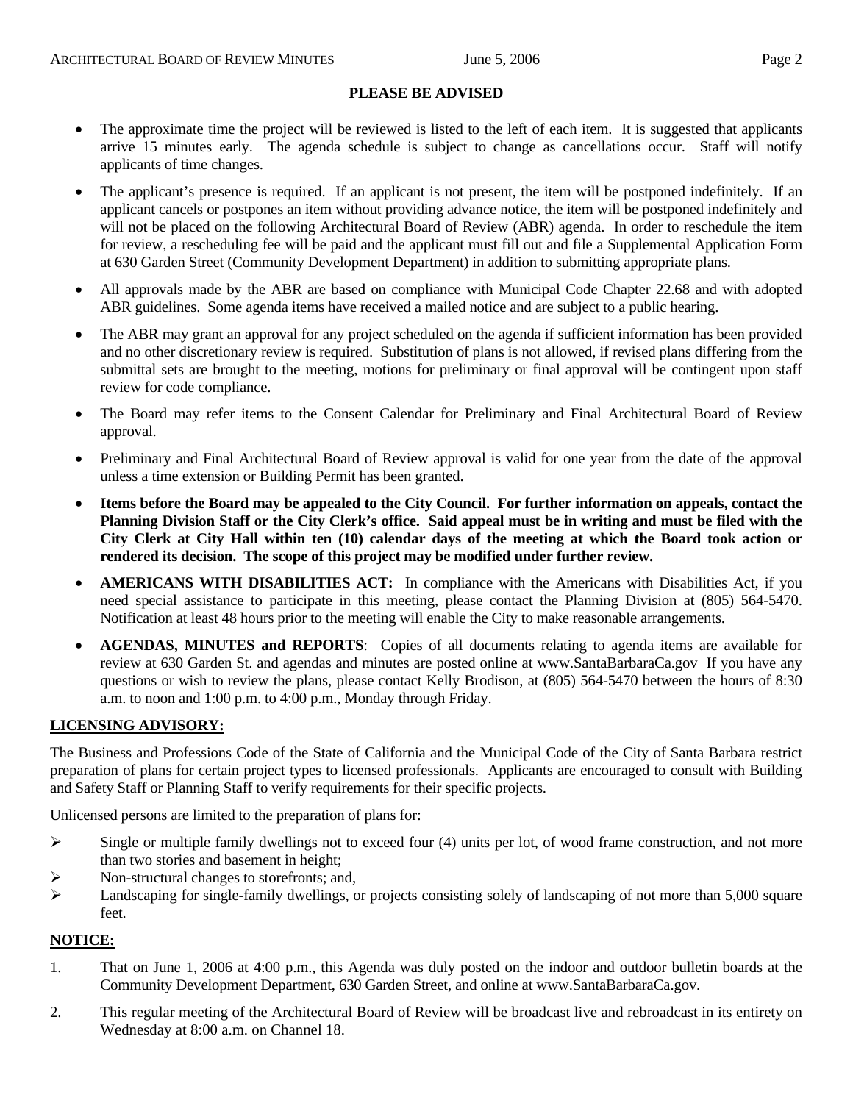#### **PLEASE BE ADVISED**

- The approximate time the project will be reviewed is listed to the left of each item. It is suggested that applicants arrive 15 minutes early. The agenda schedule is subject to change as cancellations occur. Staff will notify applicants of time changes.
- The applicant's presence is required. If an applicant is not present, the item will be postponed indefinitely. If an applicant cancels or postpones an item without providing advance notice, the item will be postponed indefinitely and will not be placed on the following Architectural Board of Review (ABR) agenda. In order to reschedule the item for review, a rescheduling fee will be paid and the applicant must fill out and file a Supplemental Application Form at 630 Garden Street (Community Development Department) in addition to submitting appropriate plans.
- All approvals made by the ABR are based on compliance with Municipal Code Chapter 22.68 and with adopted ABR guidelines. Some agenda items have received a mailed notice and are subject to a public hearing.
- The ABR may grant an approval for any project scheduled on the agenda if sufficient information has been provided and no other discretionary review is required. Substitution of plans is not allowed, if revised plans differing from the submittal sets are brought to the meeting, motions for preliminary or final approval will be contingent upon staff review for code compliance.
- The Board may refer items to the Consent Calendar for Preliminary and Final Architectural Board of Review approval.
- Preliminary and Final Architectural Board of Review approval is valid for one year from the date of the approval unless a time extension or Building Permit has been granted.
- **Items before the Board may be appealed to the City Council. For further information on appeals, contact the Planning Division Staff or the City Clerk's office. Said appeal must be in writing and must be filed with the City Clerk at City Hall within ten (10) calendar days of the meeting at which the Board took action or rendered its decision. The scope of this project may be modified under further review.**
- **AMERICANS WITH DISABILITIES ACT:** In compliance with the Americans with Disabilities Act, if you need special assistance to participate in this meeting, please contact the Planning Division at (805) 564-5470. Notification at least 48 hours prior to the meeting will enable the City to make reasonable arrangements.
- **AGENDAS, MINUTES and REPORTS**: Copies of all documents relating to agenda items are available for review at 630 Garden St. and agendas and minutes are posted online at [www.SantaBarbaraCa.gov](http://www.santabarbaraca.gov/) If you have any questions or wish to review the plans, please contact Kelly Brodison, at (805) 564-5470 between the hours of 8:30 a.m. to noon and 1:00 p.m. to 4:00 p.m., Monday through Friday.

#### **LICENSING ADVISORY:**

The Business and Professions Code of the State of California and the Municipal Code of the City of Santa Barbara restrict preparation of plans for certain project types to licensed professionals. Applicants are encouraged to consult with Building and Safety Staff or Planning Staff to verify requirements for their specific projects.

Unlicensed persons are limited to the preparation of plans for:

- $\triangleright$  Single or multiple family dwellings not to exceed four (4) units per lot, of wood frame construction, and not more than two stories and basement in height;
- ¾ Non-structural changes to storefronts; and,
- ¾ Landscaping for single-family dwellings, or projects consisting solely of landscaping of not more than 5,000 square feet.

#### **NOTICE:**

- 1. That on June 1, 2006 at 4:00 p.m., this Agenda was duly posted on the indoor and outdoor bulletin boards at the Community Development Department, 630 Garden Street, and online at www.SantaBarbaraCa.gov.
- 2. This regular meeting of the Architectural Board of Review will be broadcast live and rebroadcast in its entirety on Wednesday at 8:00 a.m. on Channel 18.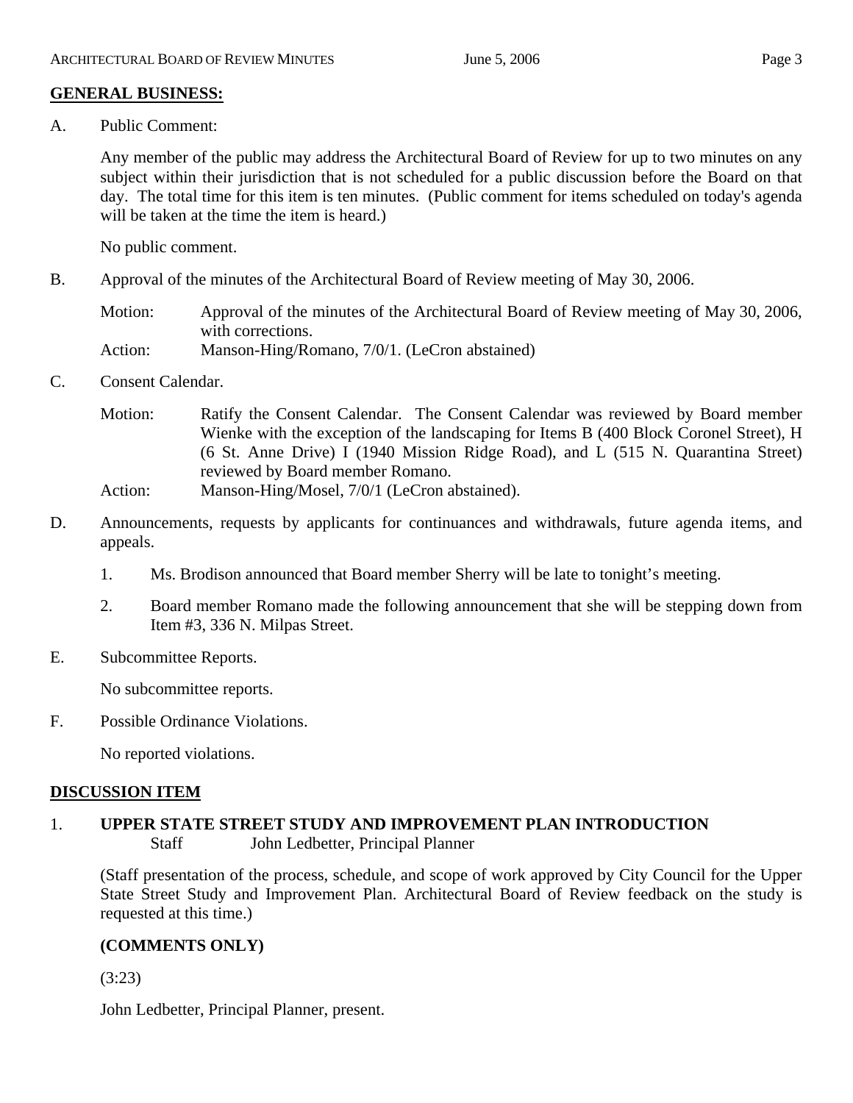# **GENERAL BUSINESS:**

A. Public Comment:

Any member of the public may address the Architectural Board of Review for up to two minutes on any subject within their jurisdiction that is not scheduled for a public discussion before the Board on that day. The total time for this item is ten minutes. (Public comment for items scheduled on today's agenda will be taken at the time the item is heard.)

No public comment.

B. Approval of the minutes of the Architectural Board of Review meeting of May 30, 2006.

Motion: Approval of the minutes of the Architectural Board of Review meeting of May 30, 2006, with corrections. Action: Manson-Hing/Romano, 7/0/1. (LeCron abstained)

- 
- C. Consent Calendar.
	- Motion: Ratify the Consent Calendar. The Consent Calendar was reviewed by Board member Wienke with the exception of the landscaping for Items B (400 Block Coronel Street), H (6 St. Anne Drive) I (1940 Mission Ridge Road), and L (515 N. Quarantina Street) reviewed by Board member Romano.
	- Action: Manson-Hing/Mosel, 7/0/1 (LeCron abstained).
- D. Announcements, requests by applicants for continuances and withdrawals, future agenda items, and appeals.
	- 1. Ms. Brodison announced that Board member Sherry will be late to tonight's meeting.
	- 2. Board member Romano made the following announcement that she will be stepping down from Item #3, 336 N. Milpas Street.
- E. Subcommittee Reports.

No subcommittee reports.

F. Possible Ordinance Violations.

No reported violations.

# **DISCUSSION ITEM**

1. **UPPER STATE STREET STUDY AND IMPROVEMENT PLAN INTRODUCTION**  Staff John Ledbetter, Principal Planner

(Staff presentation of the process, schedule, and scope of work approved by City Council for the Upper State Street Study and Improvement Plan. Architectural Board of Review feedback on the study is requested at this time.)

# **(COMMENTS ONLY)**

(3:23)

John Ledbetter, Principal Planner, present.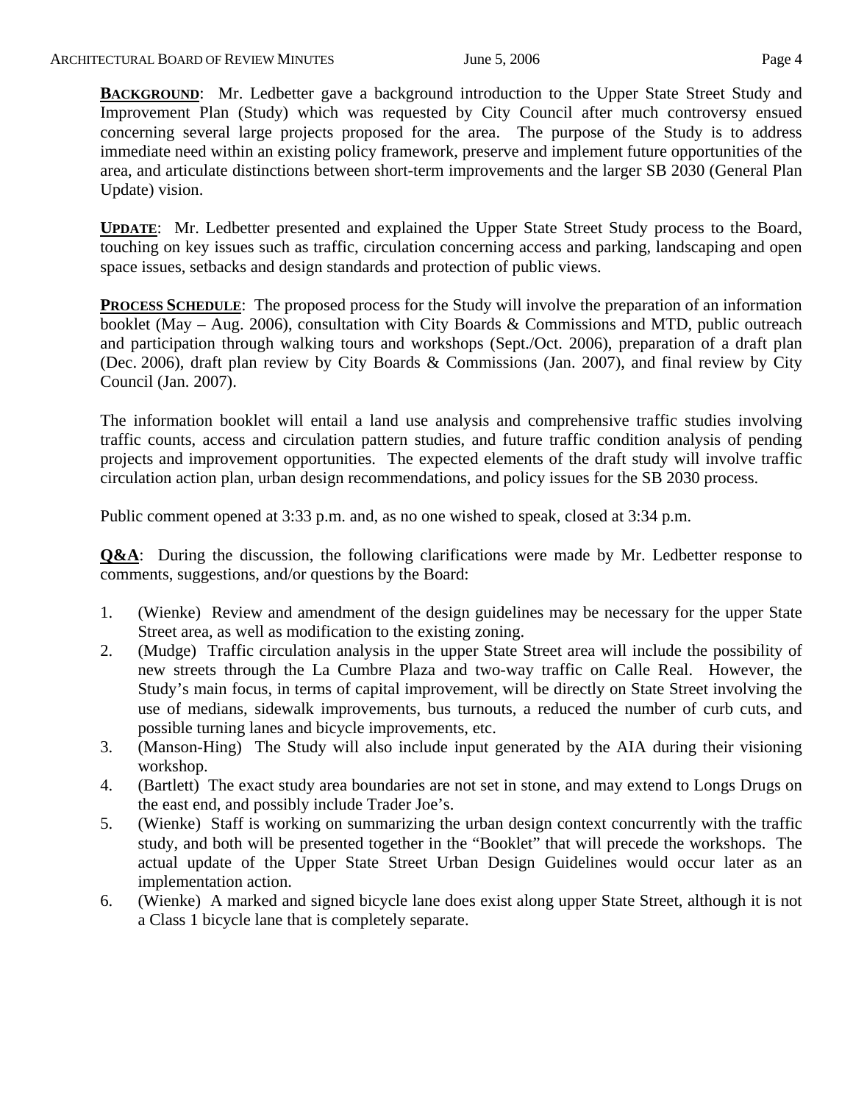**BACKGROUND:** Mr. Ledbetter gave a background introduction to the Upper State Street Study and Improvement Plan (Study) which was requested by City Council after much controversy ensued concerning several large projects proposed for the area. The purpose of the Study is to address immediate need within an existing policy framework, preserve and implement future opportunities of the area, and articulate distinctions between short-term improvements and the larger SB 2030 (General Plan Update) vision.

**UPDATE**: Mr. Ledbetter presented and explained the Upper State Street Study process to the Board, touching on key issues such as traffic, circulation concerning access and parking, landscaping and open space issues, setbacks and design standards and protection of public views.

**PROCESS SCHEDULE**: The proposed process for the Study will involve the preparation of an information booklet (May – Aug. 2006), consultation with City Boards & Commissions and MTD, public outreach and participation through walking tours and workshops (Sept./Oct. 2006), preparation of a draft plan (Dec. 2006), draft plan review by City Boards & Commissions (Jan. 2007), and final review by City Council (Jan. 2007).

The information booklet will entail a land use analysis and comprehensive traffic studies involving traffic counts, access and circulation pattern studies, and future traffic condition analysis of pending projects and improvement opportunities. The expected elements of the draft study will involve traffic circulation action plan, urban design recommendations, and policy issues for the SB 2030 process.

Public comment opened at 3:33 p.m. and, as no one wished to speak, closed at 3:34 p.m.

**Q&A**: During the discussion, the following clarifications were made by Mr. Ledbetter response to comments, suggestions, and/or questions by the Board:

- 1. (Wienke) Review and amendment of the design guidelines may be necessary for the upper State Street area, as well as modification to the existing zoning.
- 2. (Mudge) Traffic circulation analysis in the upper State Street area will include the possibility of new streets through the La Cumbre Plaza and two-way traffic on Calle Real. However, the Study's main focus, in terms of capital improvement, will be directly on State Street involving the use of medians, sidewalk improvements, bus turnouts, a reduced the number of curb cuts, and possible turning lanes and bicycle improvements, etc.
- 3. (Manson-Hing) The Study will also include input generated by the AIA during their visioning workshop.
- 4. (Bartlett) The exact study area boundaries are not set in stone, and may extend to Longs Drugs on the east end, and possibly include Trader Joe's.
- 5. (Wienke) Staff is working on summarizing the urban design context concurrently with the traffic study, and both will be presented together in the "Booklet" that will precede the workshops. The actual update of the Upper State Street Urban Design Guidelines would occur later as an implementation action.
- 6. (Wienke) A marked and signed bicycle lane does exist along upper State Street, although it is not a Class 1 bicycle lane that is completely separate.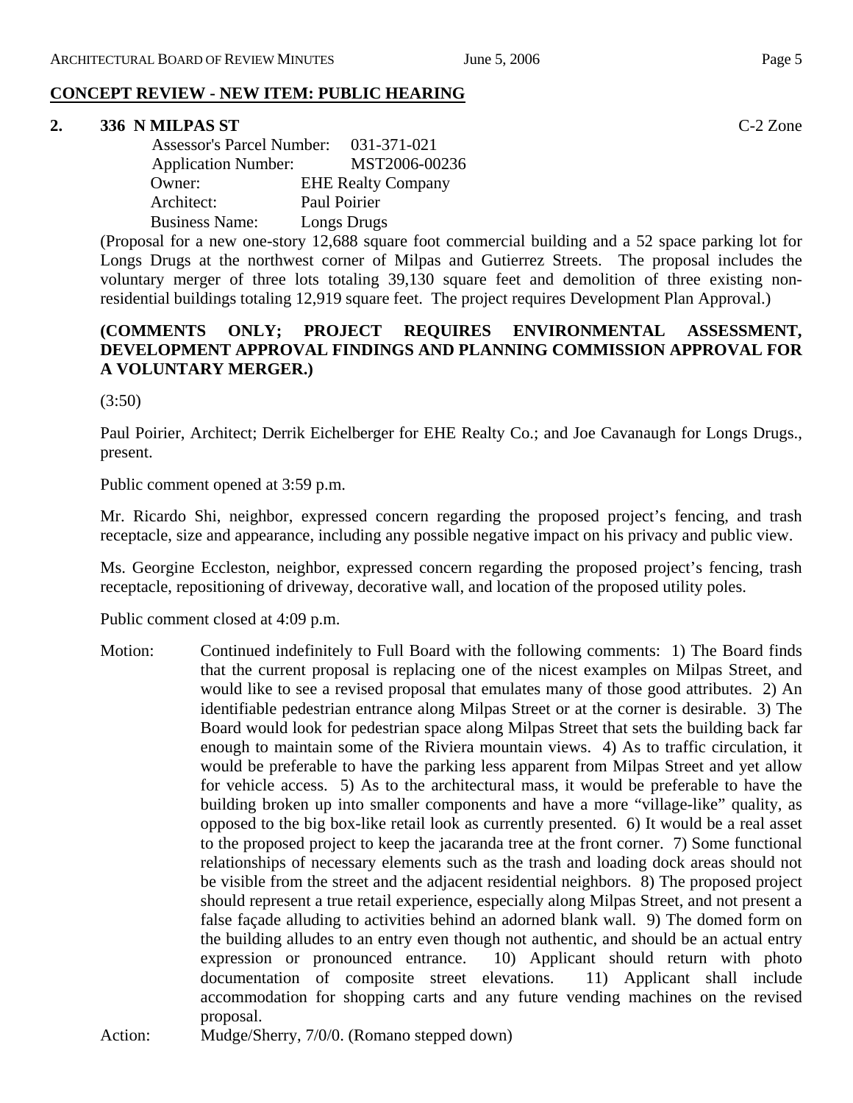#### **2. 336 N MILPAS ST** C-2 Zone

| <b>Assessor's Parcel Number:</b> | 031-371-021               |
|----------------------------------|---------------------------|
| <b>Application Number:</b>       | MST2006-00236             |
| Owner:                           | <b>EHE Realty Company</b> |
| Architect:                       | Paul Poirier              |
| <b>Business Name:</b>            | Longs Drugs               |

(Proposal for a new one-story 12,688 square foot commercial building and a 52 space parking lot for Longs Drugs at the northwest corner of Milpas and Gutierrez Streets. The proposal includes the voluntary merger of three lots totaling 39,130 square feet and demolition of three existing nonresidential buildings totaling 12,919 square feet. The project requires Development Plan Approval.)

# **(COMMENTS ONLY; PROJECT REQUIRES ENVIRONMENTAL ASSESSMENT, DEVELOPMENT APPROVAL FINDINGS AND PLANNING COMMISSION APPROVAL FOR A VOLUNTARY MERGER.)**

 $(3:50)$ 

Paul Poirier, Architect; Derrik Eichelberger for EHE Realty Co.; and Joe Cavanaugh for Longs Drugs., present.

Public comment opened at 3:59 p.m.

Mr. Ricardo Shi, neighbor, expressed concern regarding the proposed project's fencing, and trash receptacle, size and appearance, including any possible negative impact on his privacy and public view.

Ms. Georgine Eccleston, neighbor, expressed concern regarding the proposed project's fencing, trash receptacle, repositioning of driveway, decorative wall, and location of the proposed utility poles.

Public comment closed at 4:09 p.m.

Motion: Continued indefinitely to Full Board with the following comments: 1) The Board finds that the current proposal is replacing one of the nicest examples on Milpas Street, and would like to see a revised proposal that emulates many of those good attributes. 2) An identifiable pedestrian entrance along Milpas Street or at the corner is desirable. 3) The Board would look for pedestrian space along Milpas Street that sets the building back far enough to maintain some of the Riviera mountain views. 4) As to traffic circulation, it would be preferable to have the parking less apparent from Milpas Street and yet allow for vehicle access. 5) As to the architectural mass, it would be preferable to have the building broken up into smaller components and have a more "village-like" quality, as opposed to the big box-like retail look as currently presented. 6) It would be a real asset to the proposed project to keep the jacaranda tree at the front corner. 7) Some functional relationships of necessary elements such as the trash and loading dock areas should not be visible from the street and the adjacent residential neighbors. 8) The proposed project should represent a true retail experience, especially along Milpas Street, and not present a false façade alluding to activities behind an adorned blank wall. 9) The domed form on the building alludes to an entry even though not authentic, and should be an actual entry expression or pronounced entrance. 10) Applicant should return with photo documentation of composite street elevations. 11) Applicant shall include accommodation for shopping carts and any future vending machines on the revised proposal.

Action: Mudge/Sherry, 7/0/0. (Romano stepped down)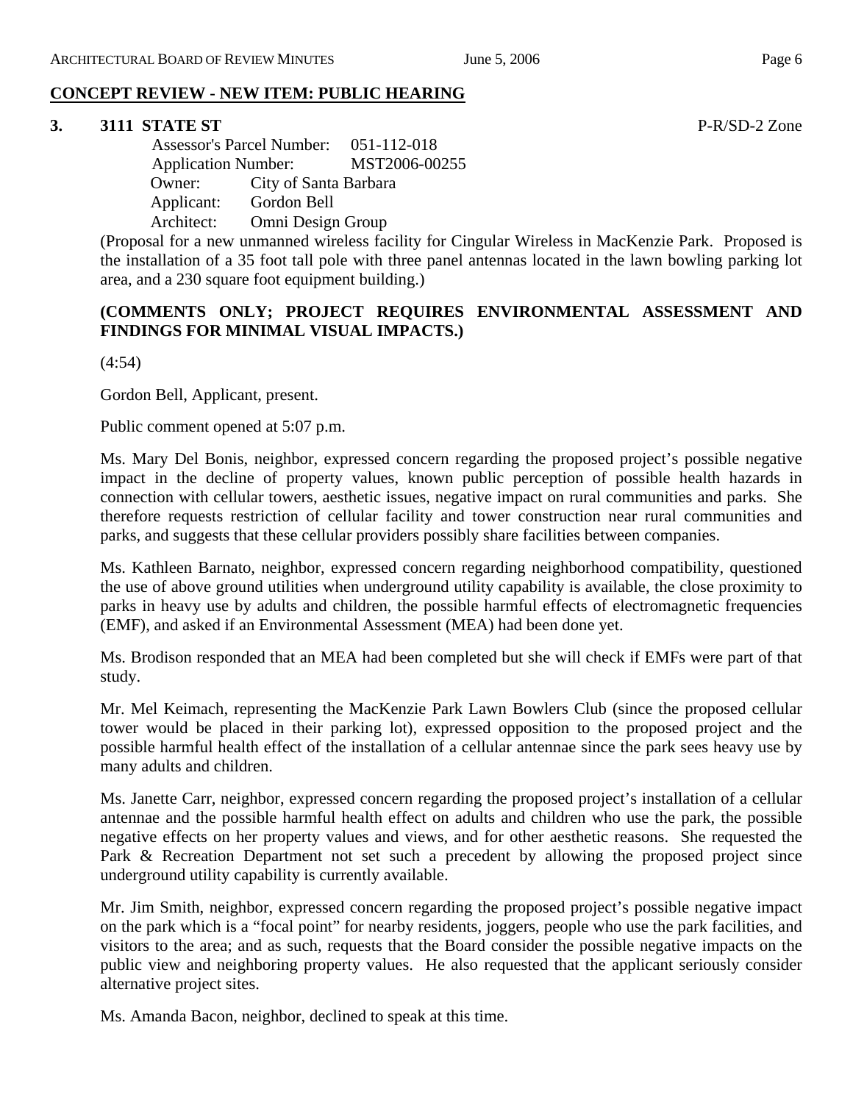# **3. 3111 STATE ST** P-R/SD-2 Zone

 Assessor's Parcel Number: 051-112-018 Application Number: MST2006-00255 Owner: City of Santa Barbara Applicant: Gordon Bell Architect: Omni Design Group

(Proposal for a new unmanned wireless facility for Cingular Wireless in MacKenzie Park. Proposed is the installation of a 35 foot tall pole with three panel antennas located in the lawn bowling parking lot area, and a 230 square foot equipment building.)

# **(COMMENTS ONLY; PROJECT REQUIRES ENVIRONMENTAL ASSESSMENT AND FINDINGS FOR MINIMAL VISUAL IMPACTS.)**

(4:54)

Gordon Bell, Applicant, present.

Public comment opened at 5:07 p.m.

Ms. Mary Del Bonis, neighbor, expressed concern regarding the proposed project's possible negative impact in the decline of property values, known public perception of possible health hazards in connection with cellular towers, aesthetic issues, negative impact on rural communities and parks. She therefore requests restriction of cellular facility and tower construction near rural communities and parks, and suggests that these cellular providers possibly share facilities between companies.

Ms. Kathleen Barnato, neighbor, expressed concern regarding neighborhood compatibility, questioned the use of above ground utilities when underground utility capability is available, the close proximity to parks in heavy use by adults and children, the possible harmful effects of electromagnetic frequencies (EMF), and asked if an Environmental Assessment (MEA) had been done yet.

Ms. Brodison responded that an MEA had been completed but she will check if EMFs were part of that study.

Mr. Mel Keimach, representing the MacKenzie Park Lawn Bowlers Club (since the proposed cellular tower would be placed in their parking lot), expressed opposition to the proposed project and the possible harmful health effect of the installation of a cellular antennae since the park sees heavy use by many adults and children.

Ms. Janette Carr, neighbor, expressed concern regarding the proposed project's installation of a cellular antennae and the possible harmful health effect on adults and children who use the park, the possible negative effects on her property values and views, and for other aesthetic reasons. She requested the Park & Recreation Department not set such a precedent by allowing the proposed project since underground utility capability is currently available.

Mr. Jim Smith, neighbor, expressed concern regarding the proposed project's possible negative impact on the park which is a "focal point" for nearby residents, joggers, people who use the park facilities, and visitors to the area; and as such, requests that the Board consider the possible negative impacts on the public view and neighboring property values. He also requested that the applicant seriously consider alternative project sites.

Ms. Amanda Bacon, neighbor, declined to speak at this time.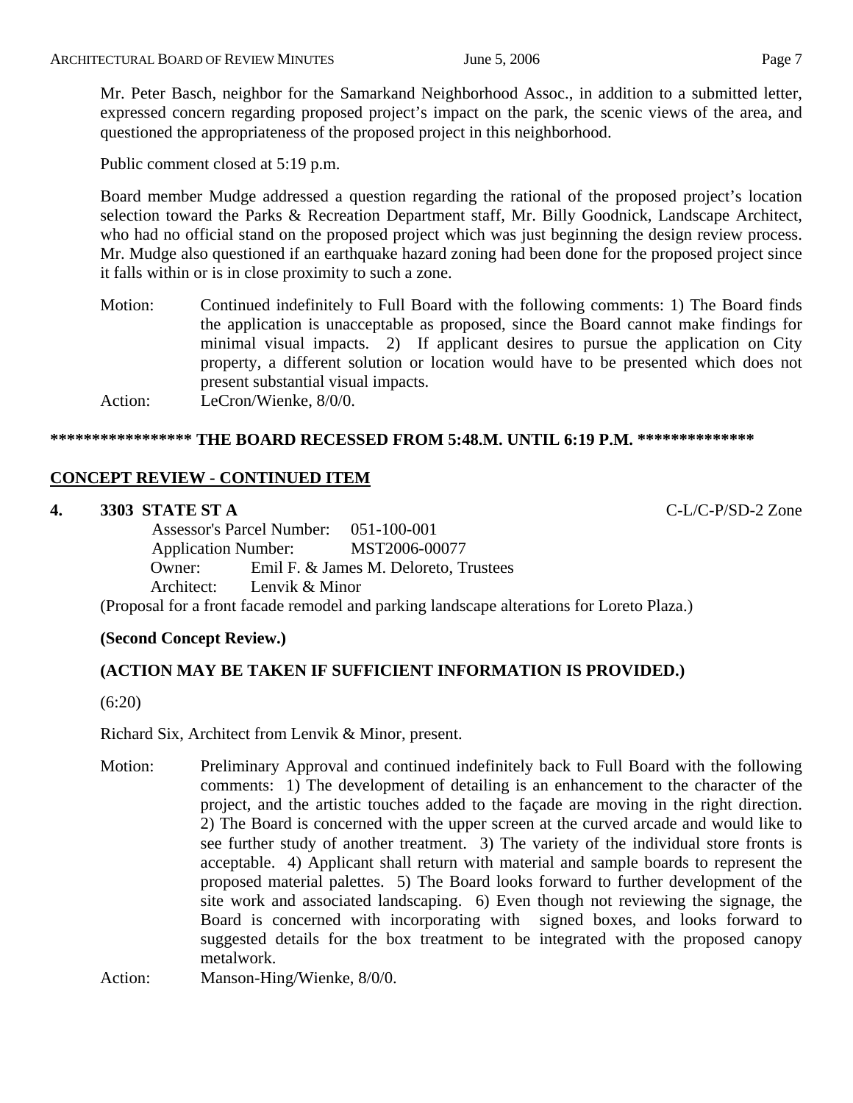Mr. Peter Basch, neighbor for the Samarkand Neighborhood Assoc., in addition to a submitted letter, expressed concern regarding proposed project's impact on the park, the scenic views of the area, and questioned the appropriateness of the proposed project in this neighborhood.

Public comment closed at 5:19 p.m.

Board member Mudge addressed a question regarding the rational of the proposed project's location selection toward the Parks & Recreation Department staff, Mr. Billy Goodnick, Landscape Architect, who had no official stand on the proposed project which was just beginning the design review process. Mr. Mudge also questioned if an earthquake hazard zoning had been done for the proposed project since it falls within or is in close proximity to such a zone.

Motion: Continued indefinitely to Full Board with the following comments: 1) The Board finds the application is unacceptable as proposed, since the Board cannot make findings for minimal visual impacts. 2) If applicant desires to pursue the application on City property, a different solution or location would have to be presented which does not present substantial visual impacts. Action: LeCron/Wienke, 8/0/0.

# **\*\*\*\*\*\*\*\*\*\*\*\*\*\*\*\*\* THE BOARD RECESSED FROM 5:48.M. UNTIL 6:19 P.M. \*\*\*\*\*\*\*\*\*\*\*\*\*\***

# **CONCEPT REVIEW - CONTINUED ITEM**

# **4. 3303 STATE ST A** C-L/C-P/SD-2 Zone

 Assessor's Parcel Number: 051-100-001 Application Number: MST2006-00077 Owner: Emil F. & James M. Deloreto, Trustees Architect: Lenvik & Minor

(Proposal for a front facade remodel and parking landscape alterations for Loreto Plaza.)

# **(Second Concept Review.)**

# **(ACTION MAY BE TAKEN IF SUFFICIENT INFORMATION IS PROVIDED.)**

(6:20)

Richard Six, Architect from Lenvik & Minor, present.

Motion: Preliminary Approval and continued indefinitely back to Full Board with the following comments: 1) The development of detailing is an enhancement to the character of the project, and the artistic touches added to the façade are moving in the right direction. 2) The Board is concerned with the upper screen at the curved arcade and would like to see further study of another treatment. 3) The variety of the individual store fronts is acceptable. 4) Applicant shall return with material and sample boards to represent the proposed material palettes. 5) The Board looks forward to further development of the site work and associated landscaping. 6) Even though not reviewing the signage, the Board is concerned with incorporating with signed boxes, and looks forward to suggested details for the box treatment to be integrated with the proposed canopy metalwork.

Action: Manson-Hing/Wienke,  $8/0/0$ .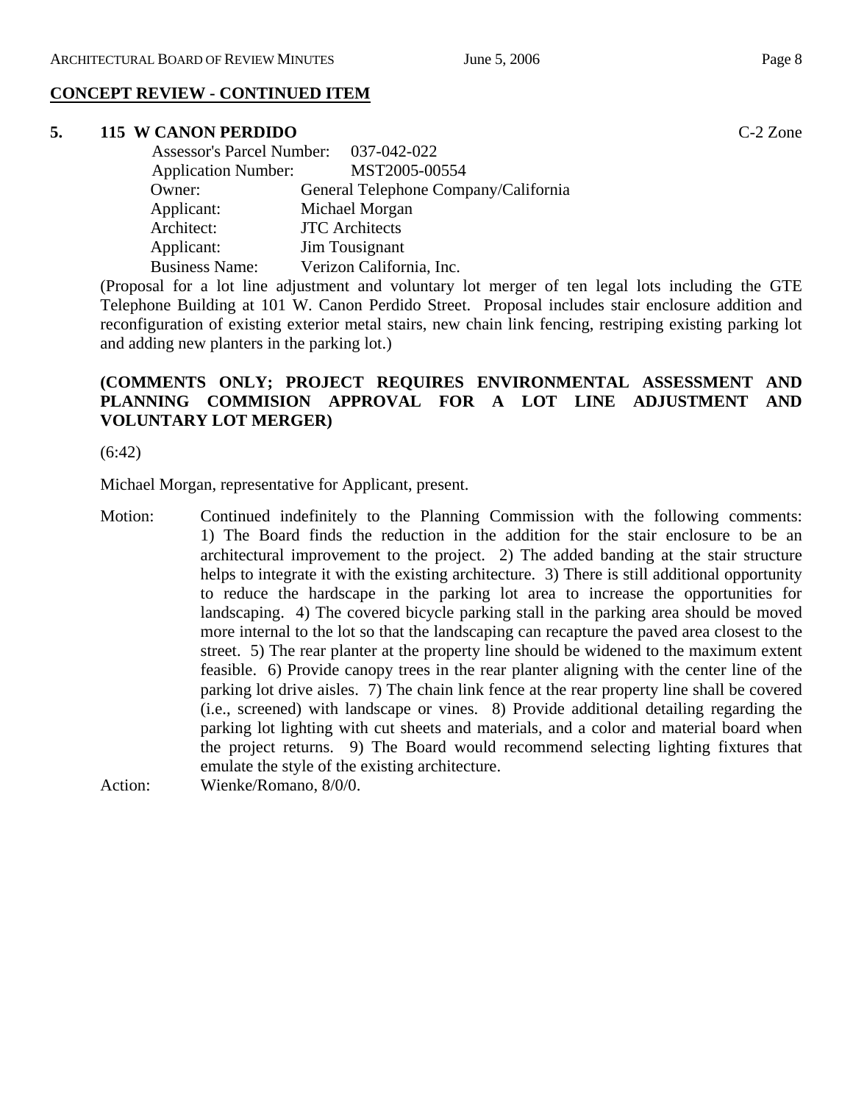# **CONCEPT REVIEW - CONTINUED ITEM**

# **5. 115 W CANON PERDIDO** C-2 Zone

| Assessor's Parcel Number: 037-042-022 |                                      |
|---------------------------------------|--------------------------------------|
| <b>Application Number:</b>            | MST2005-00554                        |
| Owner:                                | General Telephone Company/California |
| Applicant:                            | Michael Morgan                       |
| Architect:                            | <b>JTC</b> Architects                |
| Applicant:                            | Jim Tousignant                       |
| <b>Business Name:</b>                 | Verizon California, Inc.             |

(Proposal for a lot line adjustment and voluntary lot merger of ten legal lots including the GTE Telephone Building at 101 W. Canon Perdido Street. Proposal includes stair enclosure addition and reconfiguration of existing exterior metal stairs, new chain link fencing, restriping existing parking lot and adding new planters in the parking lot.)

# **(COMMENTS ONLY; PROJECT REQUIRES ENVIRONMENTAL ASSESSMENT AND PLANNING COMMISION APPROVAL FOR A LOT LINE ADJUSTMENT AND VOLUNTARY LOT MERGER)**

(6:42)

Michael Morgan, representative for Applicant, present.

Motion: Continued indefinitely to the Planning Commission with the following comments: 1) The Board finds the reduction in the addition for the stair enclosure to be an architectural improvement to the project. 2) The added banding at the stair structure helps to integrate it with the existing architecture. 3) There is still additional opportunity to reduce the hardscape in the parking lot area to increase the opportunities for landscaping. 4) The covered bicycle parking stall in the parking area should be moved more internal to the lot so that the landscaping can recapture the paved area closest to the street. 5) The rear planter at the property line should be widened to the maximum extent feasible. 6) Provide canopy trees in the rear planter aligning with the center line of the parking lot drive aisles. 7) The chain link fence at the rear property line shall be covered (i.e., screened) with landscape or vines. 8) Provide additional detailing regarding the parking lot lighting with cut sheets and materials, and a color and material board when the project returns. 9) The Board would recommend selecting lighting fixtures that emulate the style of the existing architecture. Action: Wienke/Romano, 8/0/0.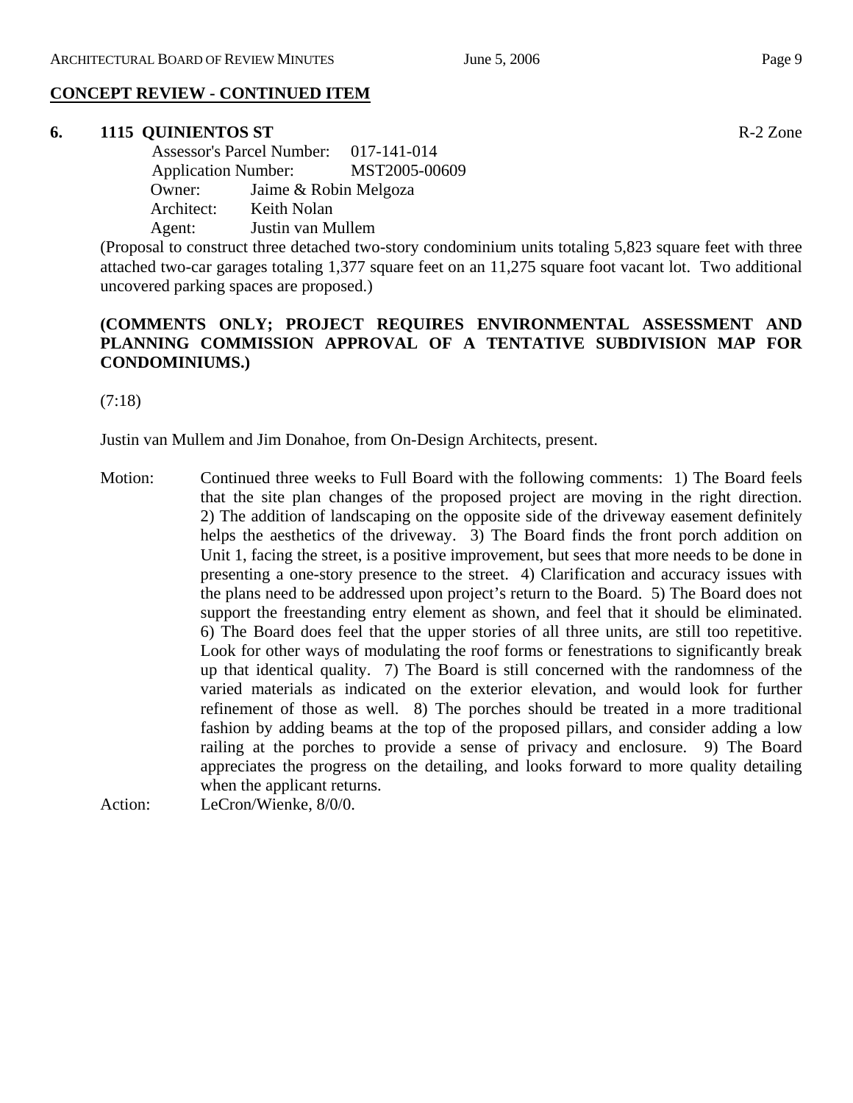#### **CONCEPT REVIEW - CONTINUED ITEM**

#### **6. 1115 QUINIENTOS ST** R-2 Zone

 Assessor's Parcel Number: 017-141-014 Application Number: MST2005-00609 Owner: Jaime & Robin Melgoza Architect: Keith Nolan Agent: Justin van Mullem

(Proposal to construct three detached two-story condominium units totaling 5,823 square feet with three attached two-car garages totaling 1,377 square feet on an 11,275 square foot vacant lot. Two additional uncovered parking spaces are proposed.)

# **(COMMENTS ONLY; PROJECT REQUIRES ENVIRONMENTAL ASSESSMENT AND PLANNING COMMISSION APPROVAL OF A TENTATIVE SUBDIVISION MAP FOR CONDOMINIUMS.)**

(7:18)

Justin van Mullem and Jim Donahoe, from On-Design Architects, present.

- Motion: Continued three weeks to Full Board with the following comments: 1) The Board feels that the site plan changes of the proposed project are moving in the right direction. 2) The addition of landscaping on the opposite side of the driveway easement definitely helps the aesthetics of the driveway. 3) The Board finds the front porch addition on Unit 1, facing the street, is a positive improvement, but sees that more needs to be done in presenting a one-story presence to the street. 4) Clarification and accuracy issues with the plans need to be addressed upon project's return to the Board. 5) The Board does not support the freestanding entry element as shown, and feel that it should be eliminated. 6) The Board does feel that the upper stories of all three units, are still too repetitive. Look for other ways of modulating the roof forms or fenestrations to significantly break up that identical quality. 7) The Board is still concerned with the randomness of the varied materials as indicated on the exterior elevation, and would look for further refinement of those as well. 8) The porches should be treated in a more traditional fashion by adding beams at the top of the proposed pillars, and consider adding a low railing at the porches to provide a sense of privacy and enclosure. 9) The Board appreciates the progress on the detailing, and looks forward to more quality detailing when the applicant returns.
- Action: LeCron/Wienke, 8/0/0.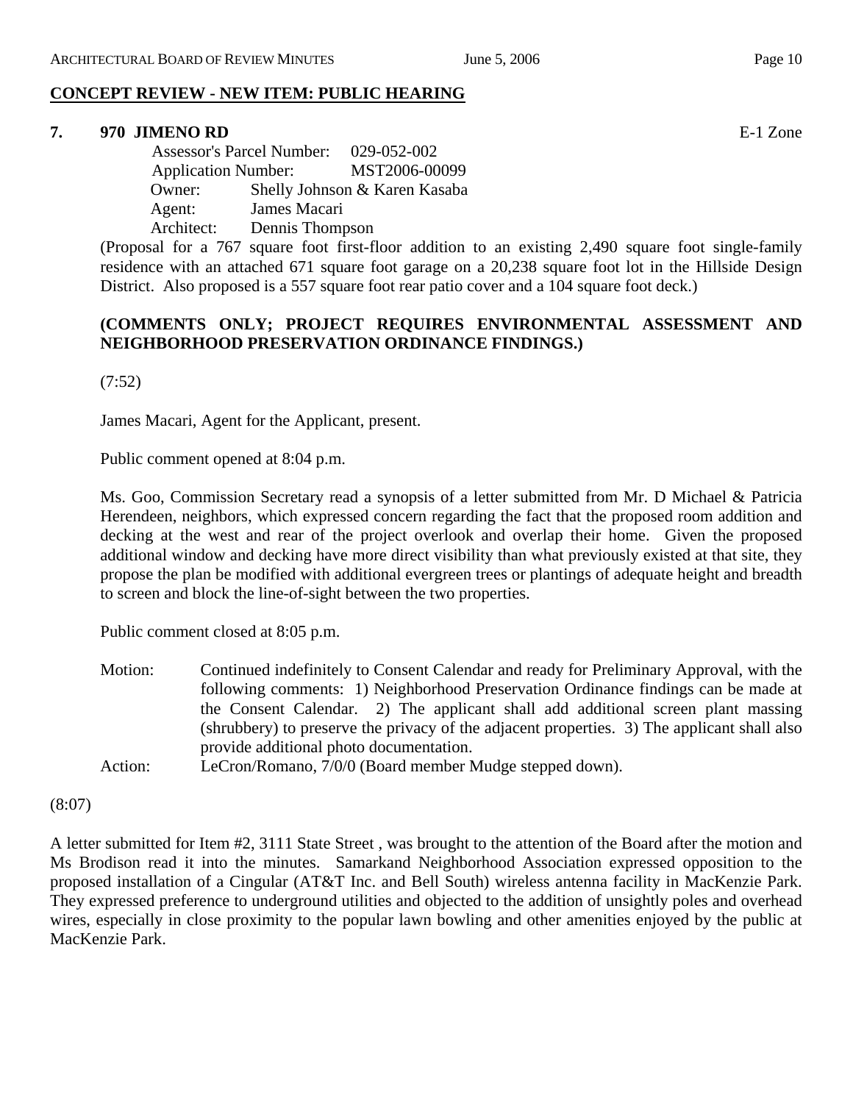#### **7. 970 JIMENO RD** E-1 Zone

 Assessor's Parcel Number: 029-052-002 Application Number: MST2006-00099 Owner: Shelly Johnson & Karen Kasaba Agent: James Macari Architect: Dennis Thompson

(Proposal for a 767 square foot first-floor addition to an existing 2,490 square foot single-family residence with an attached 671 square foot garage on a 20,238 square foot lot in the Hillside Design District. Also proposed is a 557 square foot rear patio cover and a 104 square foot deck.)

#### **(COMMENTS ONLY; PROJECT REQUIRES ENVIRONMENTAL ASSESSMENT AND NEIGHBORHOOD PRESERVATION ORDINANCE FINDINGS.)**

(7:52)

James Macari, Agent for the Applicant, present.

Public comment opened at 8:04 p.m.

Ms. Goo, Commission Secretary read a synopsis of a letter submitted from Mr. D Michael & Patricia Herendeen, neighbors, which expressed concern regarding the fact that the proposed room addition and decking at the west and rear of the project overlook and overlap their home. Given the proposed additional window and decking have more direct visibility than what previously existed at that site, they propose the plan be modified with additional evergreen trees or plantings of adequate height and breadth to screen and block the line-of-sight between the two properties.

Public comment closed at 8:05 p.m.

- Motion: Continued indefinitely to Consent Calendar and ready for Preliminary Approval, with the following comments: 1) Neighborhood Preservation Ordinance findings can be made at the Consent Calendar. 2) The applicant shall add additional screen plant massing (shrubbery) to preserve the privacy of the adjacent properties. 3) The applicant shall also provide additional photo documentation.
- Action: LeCron/Romano, 7/0/0 (Board member Mudge stepped down).

#### (8:07)

A letter submitted for Item #2, 3111 State Street , was brought to the attention of the Board after the motion and Ms Brodison read it into the minutes. Samarkand Neighborhood Association expressed opposition to the proposed installation of a Cingular (AT&T Inc. and Bell South) wireless antenna facility in MacKenzie Park. They expressed preference to underground utilities and objected to the addition of unsightly poles and overhead wires, especially in close proximity to the popular lawn bowling and other amenities enjoyed by the public at MacKenzie Park.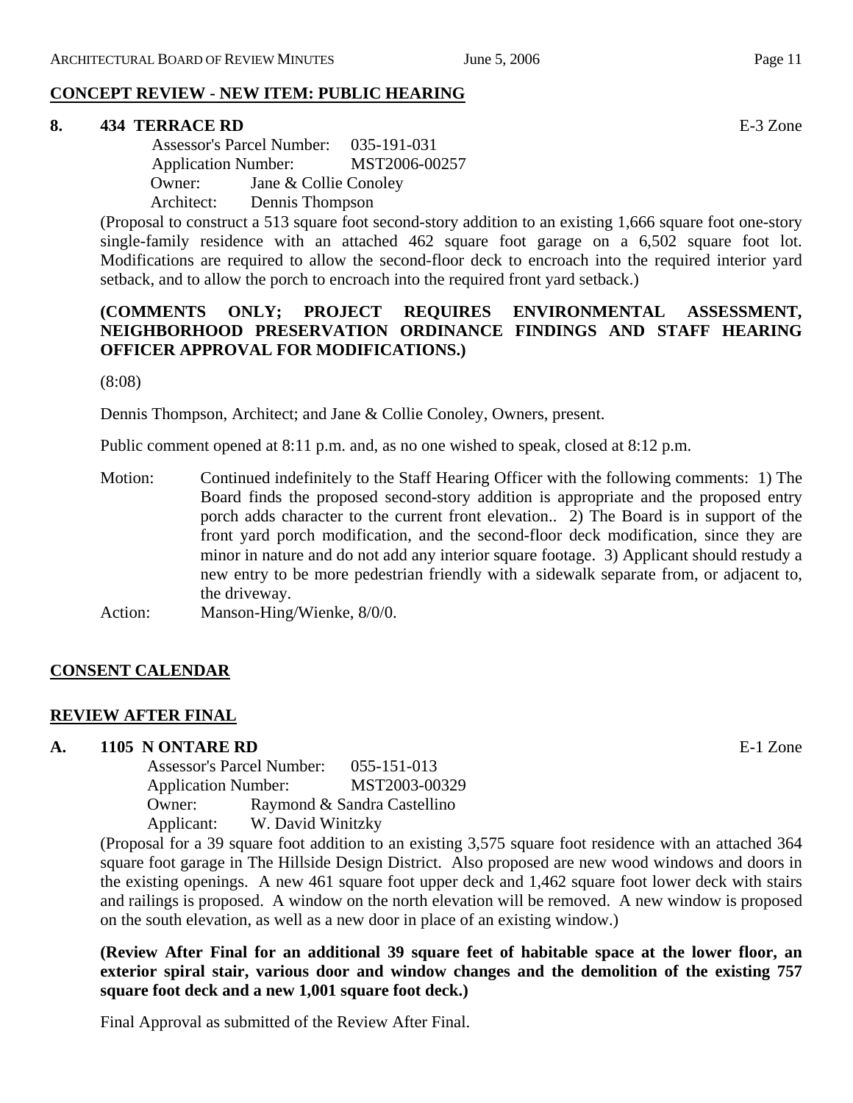#### **8. 434 TERRACE RD** E-3 Zone

 Assessor's Parcel Number: 035-191-031 Application Number: MST2006-00257 Owner: Jane & Collie Conoley Architect: Dennis Thompson

(Proposal to construct a 513 square foot second-story addition to an existing 1,666 square foot one-story single-family residence with an attached 462 square foot garage on a 6,502 square foot lot. Modifications are required to allow the second-floor deck to encroach into the required interior yard setback, and to allow the porch to encroach into the required front yard setback.)

## **(COMMENTS ONLY; PROJECT REQUIRES ENVIRONMENTAL ASSESSMENT, NEIGHBORHOOD PRESERVATION ORDINANCE FINDINGS AND STAFF HEARING OFFICER APPROVAL FOR MODIFICATIONS.)**

(8:08)

Dennis Thompson, Architect; and Jane & Collie Conoley, Owners, present.

Public comment opened at 8:11 p.m. and, as no one wished to speak, closed at 8:12 p.m.

Motion: Continued indefinitely to the Staff Hearing Officer with the following comments: 1) The Board finds the proposed second-story addition is appropriate and the proposed entry porch adds character to the current front elevation.. 2) The Board is in support of the front yard porch modification, and the second-floor deck modification, since they are minor in nature and do not add any interior square footage. 3) Applicant should restudy a new entry to be more pedestrian friendly with a sidewalk separate from, or adjacent to, the driveway.

Action: Manson-Hing/Wienke, 8/0/0.

# **CONSENT CALENDAR**

#### **REVIEW AFTER FINAL**

#### **A. 1105 N ONTARE RD** E-1 Zone

Assessor's Parcel Number: 055-151-013 Application Number: MST2003-00329 Owner: Raymond & Sandra Castellino Applicant: W. David Winitzky

(Proposal for a 39 square foot addition to an existing 3,575 square foot residence with an attached 364 square foot garage in The Hillside Design District. Also proposed are new wood windows and doors in the existing openings. A new 461 square foot upper deck and 1,462 square foot lower deck with stairs and railings is proposed. A window on the north elevation will be removed. A new window is proposed on the south elevation, as well as a new door in place of an existing window.)

**(Review After Final for an additional 39 square feet of habitable space at the lower floor, an exterior spiral stair, various door and window changes and the demolition of the existing 757 square foot deck and a new 1,001 square foot deck.)** 

Final Approval as submitted of the Review After Final.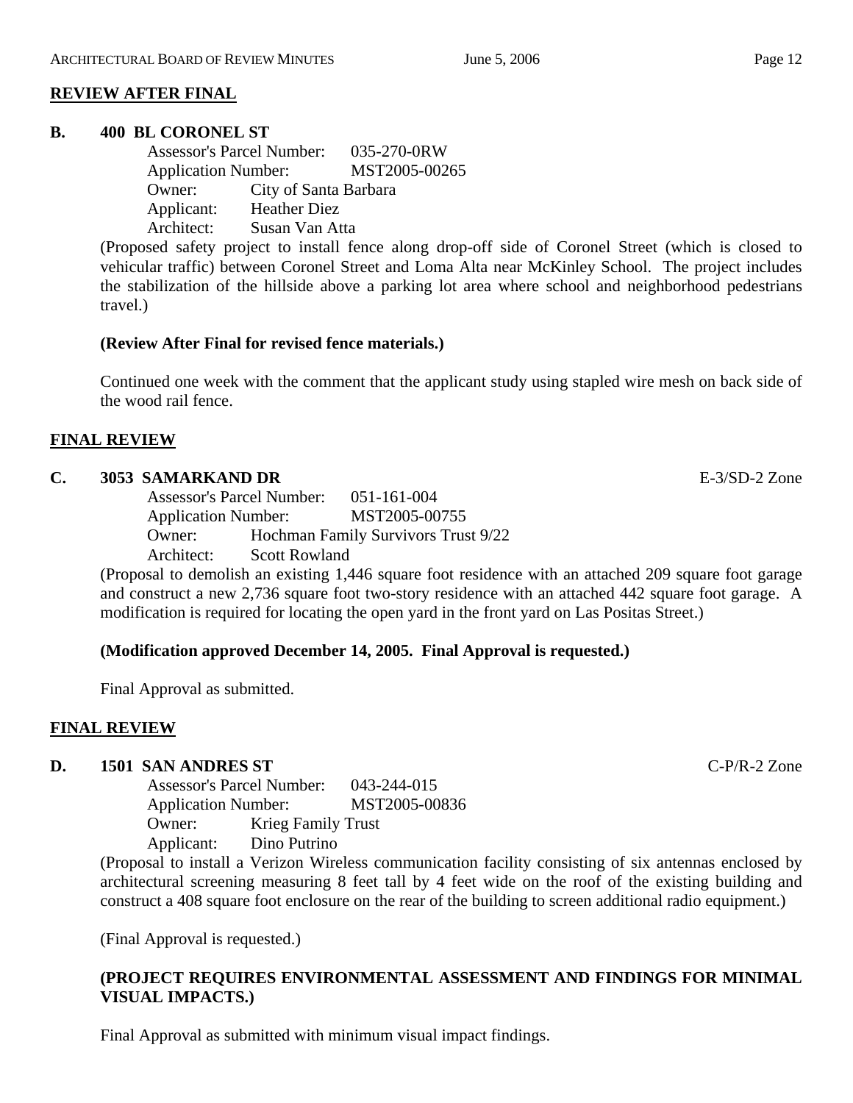# **REVIEW AFTER FINAL**

#### **B. 400 BL CORONEL ST**

Assessor's Parcel Number: 035-270-0RW Application Number: MST2005-00265 Owner: City of Santa Barbara Applicant: Heather Diez Architect: Susan Van Atta

(Proposed safety project to install fence along drop-off side of Coronel Street (which is closed to vehicular traffic) between Coronel Street and Loma Alta near McKinley School. The project includes the stabilization of the hillside above a parking lot area where school and neighborhood pedestrians travel.)

#### **(Review After Final for revised fence materials.)**

Continued one week with the comment that the applicant study using stapled wire mesh on back side of the wood rail fence.

#### **FINAL REVIEW**

#### **C. 3053 SAMARKAND DR** E-3/SD-2 Zone

Assessor's Parcel Number: 051-161-004 Application Number: MST2005-00755 Owner: Hochman Family Survivors Trust 9/22 Architect: Scott Rowland

(Proposal to demolish an existing 1,446 square foot residence with an attached 209 square foot garage and construct a new 2,736 square foot two-story residence with an attached 442 square foot garage. A modification is required for locating the open yard in the front yard on Las Positas Street.)

# **(Modification approved December 14, 2005. Final Approval is requested.)**

Final Approval as submitted.

# **FINAL REVIEW**

#### **D. 1501 SAN ANDRES ST** C-P/R-2 Zone

Assessor's Parcel Number: 043-244-015 Application Number: MST2005-00836 Owner: Krieg Family Trust Applicant: Dino Putrino

(Proposal to install a Verizon Wireless communication facility consisting of six antennas enclosed by architectural screening measuring 8 feet tall by 4 feet wide on the roof of the existing building and construct a 408 square foot enclosure on the rear of the building to screen additional radio equipment.)

(Final Approval is requested.)

# **(PROJECT REQUIRES ENVIRONMENTAL ASSESSMENT AND FINDINGS FOR MINIMAL VISUAL IMPACTS.)**

Final Approval as submitted with minimum visual impact findings.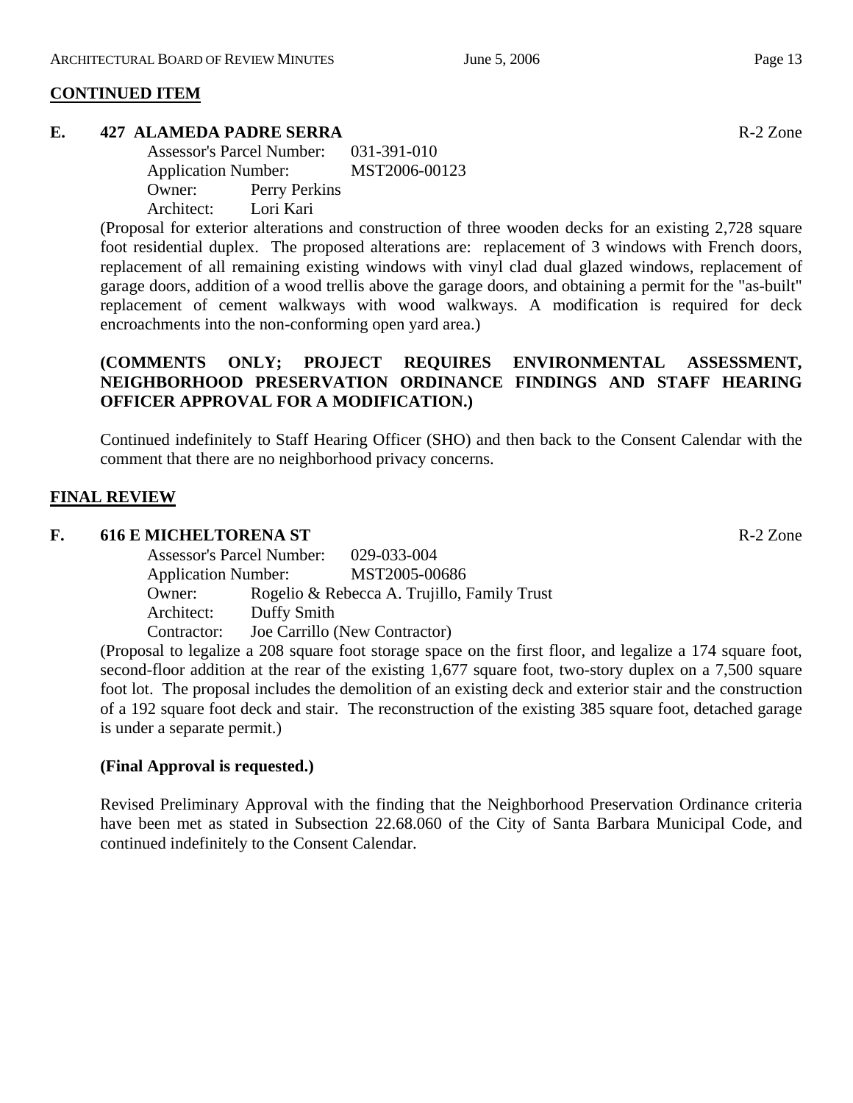#### **CONTINUED ITEM**

#### **E. 427 ALAMEDA PADRE SERRA R-2 Zone**

| <b>Assessor's Parcel Number:</b> | 031-391-010   |
|----------------------------------|---------------|
| <b>Application Number:</b>       | MST2006-00123 |
| Owner:                           | Perry Perkins |
| Architect:<br>Lori Kari          |               |

(Proposal for exterior alterations and construction of three wooden decks for an existing 2,728 square foot residential duplex. The proposed alterations are: replacement of 3 windows with French doors, replacement of all remaining existing windows with vinyl clad dual glazed windows, replacement of garage doors, addition of a wood trellis above the garage doors, and obtaining a permit for the "as-built" replacement of cement walkways with wood walkways. A modification is required for deck encroachments into the non-conforming open yard area.)

# **(COMMENTS ONLY; PROJECT REQUIRES ENVIRONMENTAL ASSESSMENT, NEIGHBORHOOD PRESERVATION ORDINANCE FINDINGS AND STAFF HEARING OFFICER APPROVAL FOR A MODIFICATION.)**

Continued indefinitely to Staff Hearing Officer (SHO) and then back to the Consent Calendar with the comment that there are no neighborhood privacy concerns.

#### **FINAL REVIEW**

#### **F. 616 E MICHELTORENA ST** R-2 Zone

|                            | <b>Assessor's Parcel Number:</b> | 029-033-004                                 |  |
|----------------------------|----------------------------------|---------------------------------------------|--|
| <b>Application Number:</b> |                                  | MST2005-00686                               |  |
| Owner:                     |                                  | Rogelio & Rebecca A. Trujillo, Family Trust |  |
| Architect:                 | Duffy Smith                      |                                             |  |
| Contractor:                |                                  | Joe Carrillo (New Contractor)               |  |

(Proposal to legalize a 208 square foot storage space on the first floor, and legalize a 174 square foot, second-floor addition at the rear of the existing 1,677 square foot, two-story duplex on a 7,500 square foot lot. The proposal includes the demolition of an existing deck and exterior stair and the construction of a 192 square foot deck and stair. The reconstruction of the existing 385 square foot, detached garage is under a separate permit.)

#### **(Final Approval is requested.)**

Revised Preliminary Approval with the finding that the Neighborhood Preservation Ordinance criteria have been met as stated in Subsection 22.68.060 of the City of Santa Barbara Municipal Code, and continued indefinitely to the Consent Calendar.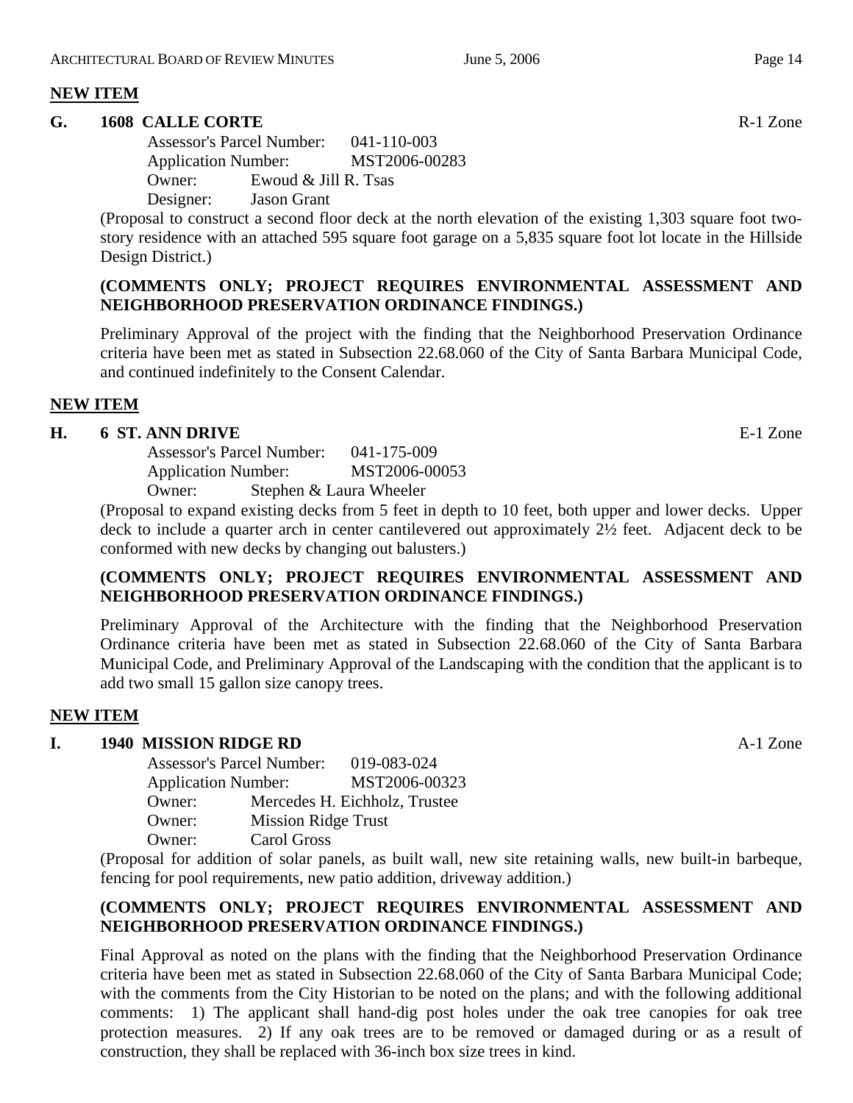# **NEW ITEM**

#### **G.** 1608 CALLE CORTE **Reserve All 2018** R-1 Zone

Assessor's Parcel Number: 041-110-003 Application Number: MST2006-00283 Owner: Ewoud & Jill R. Tsas Designer: Jason Grant

(Proposal to construct a second floor deck at the north elevation of the existing 1,303 square foot twostory residence with an attached 595 square foot garage on a 5,835 square foot lot locate in the Hillside Design District.)

## **(COMMENTS ONLY; PROJECT REQUIRES ENVIRONMENTAL ASSESSMENT AND NEIGHBORHOOD PRESERVATION ORDINANCE FINDINGS.)**

Preliminary Approval of the project with the finding that the Neighborhood Preservation Ordinance criteria have been met as stated in Subsection 22.68.060 of the City of Santa Barbara Municipal Code, and continued indefinitely to the Consent Calendar.

# **NEW ITEM**

#### **H. 6 ST. ANN DRIVE** E-1 Zone

Assessor's Parcel Number: 041-175-009 Application Number: MST2006-00053 Owner: Stephen & Laura Wheeler

(Proposal to expand existing decks from 5 feet in depth to 10 feet, both upper and lower decks. Upper deck to include a quarter arch in center cantilevered out approximately 2½ feet. Adjacent deck to be conformed with new decks by changing out balusters.)

# **(COMMENTS ONLY; PROJECT REQUIRES ENVIRONMENTAL ASSESSMENT AND NEIGHBORHOOD PRESERVATION ORDINANCE FINDINGS.)**

Preliminary Approval of the Architecture with the finding that the Neighborhood Preservation Ordinance criteria have been met as stated in Subsection 22.68.060 of the City of Santa Barbara Municipal Code, and Preliminary Approval of the Landscaping with the condition that the applicant is to add two small 15 gallon size canopy trees.

# **NEW ITEM**

# **I. 1940 MISSION RIDGE RD** A-1 Zone

Assessor's Parcel Number: 019-083-024 Application Number: MST2006-00323 Owner: Mercedes H. Eichholz, Trustee Owner: Mission Ridge Trust Owner: Carol Gross

(Proposal for addition of solar panels, as built wall, new site retaining walls, new built-in barbeque, fencing for pool requirements, new patio addition, driveway addition.)

# **(COMMENTS ONLY; PROJECT REQUIRES ENVIRONMENTAL ASSESSMENT AND NEIGHBORHOOD PRESERVATION ORDINANCE FINDINGS.)**

Final Approval as noted on the plans with the finding that the Neighborhood Preservation Ordinance criteria have been met as stated in Subsection 22.68.060 of the City of Santa Barbara Municipal Code; with the comments from the City Historian to be noted on the plans; and with the following additional comments: 1) The applicant shall hand-dig post holes under the oak tree canopies for oak tree protection measures. 2) If any oak trees are to be removed or damaged during or as a result of construction, they shall be replaced with 36-inch box size trees in kind.